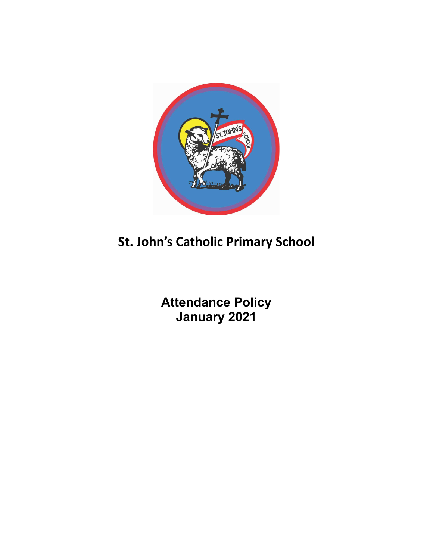

# **St. John's Catholic Primary School**

**Attendance Policy January 2021**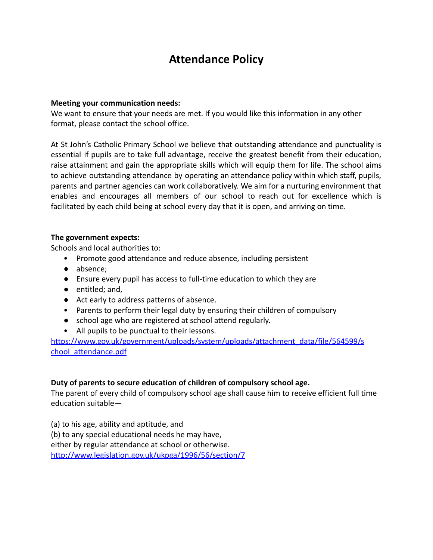# **Attendance Policy**

#### **Meeting your communication needs:**

We want to ensure that your needs are met. If you would like this information in any other format, please contact the school office.

At St John's Catholic Primary School we believe that outstanding attendance and punctuality is essential if pupils are to take full advantage, receive the greatest benefit from their education, raise attainment and gain the appropriate skills which will equip them for life. The school aims to achieve outstanding attendance by operating an attendance policy within which staff, pupils, parents and partner agencies can work collaboratively. We aim for a nurturing environment that enables and encourages all members of our school to reach out for excellence which is facilitated by each child being at school every day that it is open, and arriving on time.

#### **The government expects:**

Schools and local authorities to:

- Promote good attendance and reduce absence, including persistent
- absence;
- Ensure every pupil has access to full-time education to which they are
- entitled; and,
- Act early to address patterns of absence.
- Parents to perform their legal duty by ensuring their children of compulsory
- school age who are registered at school attend regularly.
- All pupils to be punctual to their lessons.

https://www.gov.uk/government/uploads/system/uploads/attachment\_data/file/564599/s chool attendance.pdf

#### **Duty of parents to secure education of children of compulsory school age.**

The parent of every child of compulsory school age shall cause him to receive efficient full time education suitable—

(a) to his age, ability and aptitude, and (b) to any special educational needs he may have, either by regular attendance at school or otherwise. <http://www.legislation.gov.uk/ukpga/1996/56/section/7>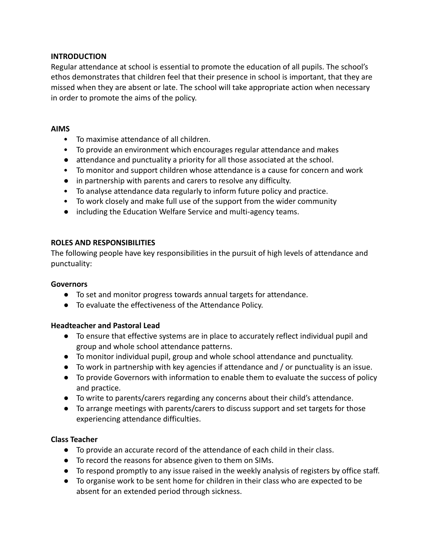## **INTRODUCTION**

Regular attendance at school is essential to promote the education of all pupils. The school's ethos demonstrates that children feel that their presence in school is important, that they are missed when they are absent or late. The school will take appropriate action when necessary in order to promote the aims of the policy.

#### **AIMS**

- To maximise attendance of all children.
- To provide an environment which encourages regular attendance and makes
- attendance and punctuality a priority for all those associated at the school.
- To monitor and support children whose attendance is a cause for concern and work
- in partnership with parents and carers to resolve any difficulty.
- To analyse attendance data regularly to inform future policy and practice.
- To work closely and make full use of the support from the wider community
- including the Education Welfare Service and multi-agency teams.

#### **ROLES AND RESPONSIBILITIES**

The following people have key responsibilities in the pursuit of high levels of attendance and punctuality:

#### **Governors**

- To set and monitor progress towards annual targets for attendance.
- To evaluate the effectiveness of the Attendance Policy.

## **Headteacher and Pastoral Lead**

- To ensure that effective systems are in place to accurately reflect individual pupil and group and whole school attendance patterns.
- To monitor individual pupil, group and whole school attendance and punctuality.
- To work in partnership with key agencies if attendance and / or punctuality is an issue.
- To provide Governors with information to enable them to evaluate the success of policy and practice.
- To write to parents/carers regarding any concerns about their child's attendance.
- To arrange meetings with parents/carers to discuss support and set targets for those experiencing attendance difficulties.

#### **Class Teacher**

- To provide an accurate record of the attendance of each child in their class.
- To record the reasons for absence given to them on SIMs.
- To respond promptly to any issue raised in the weekly analysis of registers by office staff.
- To organise work to be sent home for children in their class who are expected to be absent for an extended period through sickness.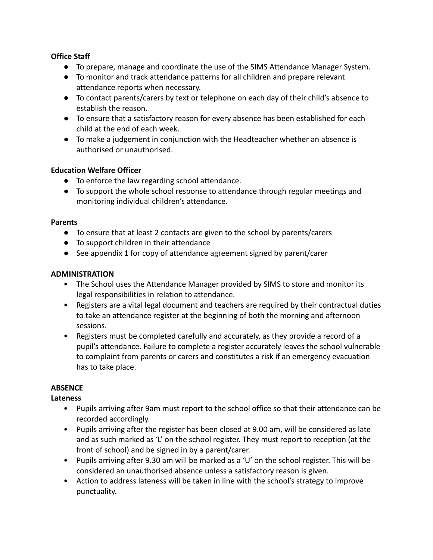# **Office Staff**

- To prepare, manage and coordinate the use of the SIMS Attendance Manager System.
- To monitor and track attendance patterns for all children and prepare relevant attendance reports when necessary.
- To contact parents/carers by text or telephone on each day of their child's absence to establish the reason.
- To ensure that a satisfactory reason for every absence has been established for each child at the end of each week.
- To make a judgement in conjunction with the Headteacher whether an absence is authorised or unauthorised.

# **Education Welfare Officer**

- To enforce the law regarding school attendance.
- To support the whole school response to attendance through regular meetings and monitoring individual children's attendance.

## **Parents**

- To ensure that at least 2 contacts are given to the school by parents/carers
- To support children in their attendance
- See appendix 1 for copy of attendance agreement signed by parent/carer

# **ADMINISTRATION**

- The School uses the Attendance Manager provided by SIMS to store and monitor its legal responsibilities in relation to attendance.
- Registers are a vital legal document and teachers are required by their contractual duties to take an attendance register at the beginning of both the morning and afternoon sessions.
- Registers must be completed carefully and accurately, as they provide a record of a pupil's attendance. Failure to complete a register accurately leaves the school vulnerable to complaint from parents or carers and constitutes a risk if an emergency evacuation has to take place.

# **ABSENCE**

# **Lateness**

- Pupils arriving after 9am must report to the school office so that their attendance can be recorded accordingly.
- Pupils arriving after the register has been closed at 9.00 am, will be considered as late and as such marked as 'L' on the school register. They must report to reception (at the front of school) and be signed in by a parent/carer.
- Pupils arriving after 9.30 am will be marked as a 'U' on the school register. This will be considered an unauthorised absence unless a satisfactory reason is given.
- Action to address lateness will be taken in line with the school's strategy to improve punctuality.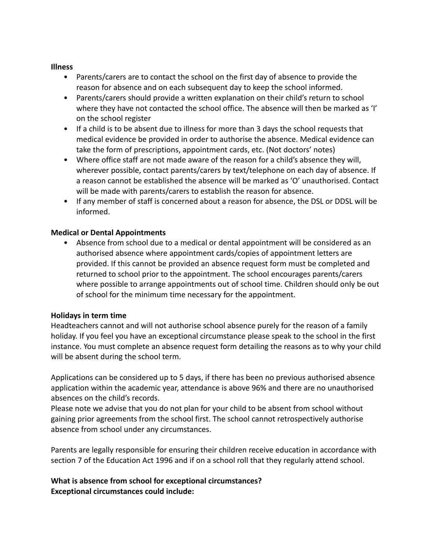#### **Illness**

- Parents/carers are to contact the school on the first day of absence to provide the reason for absence and on each subsequent day to keep the school informed.
- Parents/carers should provide a written explanation on their child's return to school where they have not contacted the school office. The absence will then be marked as 'I' on the school register
- If a child is to be absent due to illness for more than 3 days the school requests that medical evidence be provided in order to authorise the absence. Medical evidence can take the form of prescriptions, appointment cards, etc. (Not doctors' notes)
- Where office staff are not made aware of the reason for a child's absence they will, wherever possible, contact parents/carers by text/telephone on each day of absence. If a reason cannot be established the absence will be marked as 'O' unauthorised. Contact will be made with parents/carers to establish the reason for absence.
- If any member of staff is concerned about a reason for absence, the DSL or DDSL will be informed.

#### **Medical or Dental Appointments**

• Absence from school due to a medical or dental appointment will be considered as an authorised absence where appointment cards/copies of appointment letters are provided. If this cannot be provided an absence request form must be completed and returned to school prior to the appointment. The school encourages parents/carers where possible to arrange appointments out of school time. Children should only be out of school for the minimum time necessary for the appointment.

#### **Holidays in term time**

Headteachers cannot and will not authorise school absence purely for the reason of a family holiday. If you feel you have an exceptional circumstance please speak to the school in the first instance. You must complete an absence request form detailing the reasons as to why your child will be absent during the school term.

Applications can be considered up to 5 days, if there has been no previous authorised absence application within the academic year, attendance is above 96% and there are no unauthorised absences on the child's records.

Please note we advise that you do not plan for your child to be absent from school without gaining prior agreements from the school first. The school cannot retrospectively authorise absence from school under any circumstances.

Parents are legally responsible for ensuring their children receive education in accordance with section 7 of the Education Act 1996 and if on a school roll that they regularly attend school.

# **What is absence from school for exceptional circumstances? Exceptional circumstances could include:**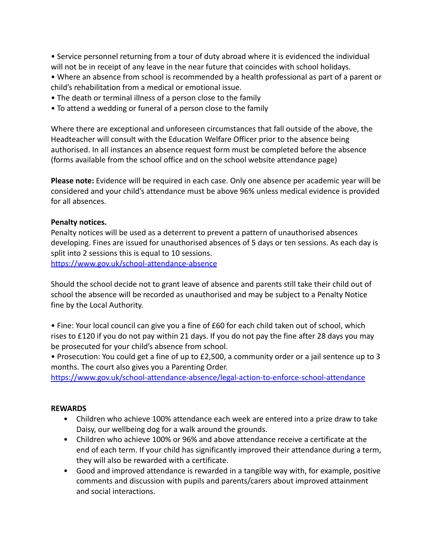• Service personnel returning from a tour of duty abroad where it is evidenced the individual will not be in receipt of any leave in the near future that coincides with school holidays.

• Where an absence from school is recommended by a health professional as part of a parent or child's rehabilitation from a medical or emotional issue.

- The death or terminal illness of a person close to the family
- To attend a wedding or funeral of a person close to the family

Where there are exceptional and unforeseen circumstances that fall outside of the above, the Headteacher will consult with the Education Welfare Officer prior to the absence being authorised. In all instances an absence request form must be completed before the absence (forms available from the school office and on the school website attendance page)

**Please note:** Evidence will be required in each case. Only one absence per academic year will be considered and your child's attendance must be above 96% unless medical evidence is provided for all absences.

#### **Penalty notices.**

Penalty notices will be used as a deterrent to prevent a pattern of unauthorised absences developing. Fines are issued for unauthorised absences of 5 days or ten sessions. As each day is split into 2 sessions this is equal to 10 sessions. <https://www.gov.uk/school-attendance-absence>

Should the school decide not to grant leave of absence and parents still take their child out of school the absence will be recorded as unauthorised and may be subject to a Penalty Notice fine by the Local Authority.

• Fine: Your local council can give you a fine of £60 for each child taken out of school, which rises to £120 if you do not pay within 21 days. If you do not pay the fine after 28 days you may be prosecuted for your child's absence from school.

• Prosecution: You could get a fine of up to £2,500, a community order or a jail sentence up to 3 months. The court also gives you a Parenting Order.

<https://www.gov.uk/school-attendance-absence/legal-action-to-enforce-school-attendance>

#### **REWARDS**

- Children who achieve 100% attendance each week are entered into a prize draw to take Daisy, our wellbeing dog for a walk around the grounds.
- Children who achieve 100% or 96% and above attendance receive a certificate at the end of each term. If your child has significantly improved their attendance during a term, they will also be rewarded with a certificate.
- Good and improved attendance is rewarded in a tangible way with, for example, positive comments and discussion with pupils and parents/carers about improved attainment and social interactions.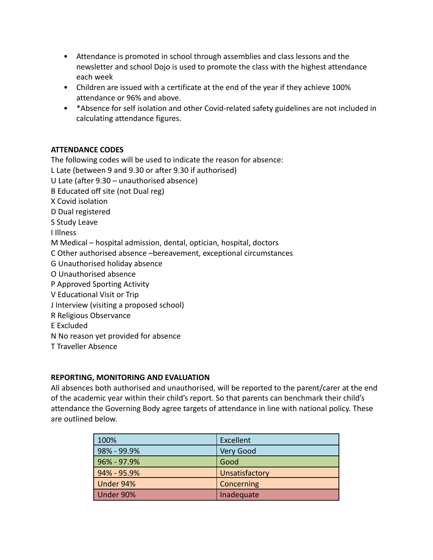- Attendance is promoted in school through assemblies and class lessons and the newsletter and school Dojo is used to promote the class with the highest attendance each week
- Children are issued with a certificate at the end of the year if they achieve 100% attendance or 96% and above.
- \*Absence for self isolation and other Covid-related safety guidelines are not included in calculating attendance figures.

# **ATTENDANCE CODES**

The following codes will be used to indicate the reason for absence: L Late (between 9 and 9.30 or after 9.30 if authorised) U Late (after 9.30 – unauthorised absence) B Educated off site (not Dual reg) X Covid isolation D Dual registered S Study Leave I Illness M Medical – hospital admission, dental, optician, hospital, doctors C Other authorised absence –bereavement, exceptional circumstances G Unauthorised holiday absence O Unauthorised absence P Approved Sporting Activity V Educational Visit or Trip J Interview (visiting a proposed school) R Religious Observance E Excluded N No reason yet provided for absence T Traveller Absence

# **REPORTING, MONITORING AND EVALUATION**

All absences both authorised and unauthorised, will be reported to the parent/carer at the end of the academic year within their child's report. So that parents can benchmark their child's attendance the Governing Body agree targets of attendance in line with national policy. These are outlined below.

| 100%            | Excellent      |
|-----------------|----------------|
| $98\% - 99.9\%$ | Very Good      |
| $96\% - 97.9\%$ | Good           |
| 94% - 95.9%     | Unsatisfactory |
| Under 94%       | Concerning     |
| Under 90%       | Inadequate     |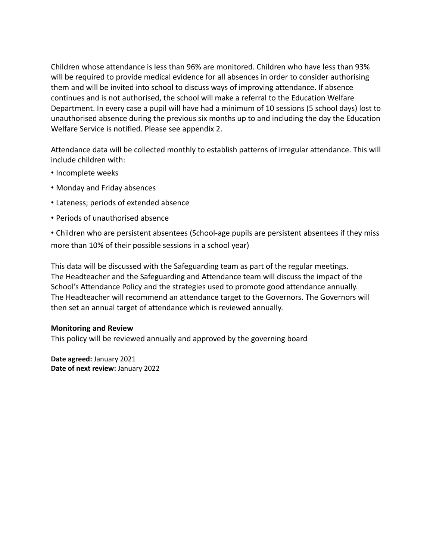Children whose attendance is less than 96% are monitored. Children who have less than 93% will be required to provide medical evidence for all absences in order to consider authorising them and will be invited into school to discuss ways of improving attendance. If absence continues and is not authorised, the school will make a referral to the Education Welfare Department. In every case a pupil will have had a minimum of 10 sessions (5 school days) lost to unauthorised absence during the previous six months up to and including the day the Education Welfare Service is notified. Please see appendix 2.

Attendance data will be collected monthly to establish patterns of irregular attendance. This will include children with:

- Incomplete weeks
- Monday and Friday absences
- Lateness; periods of extended absence
- Periods of unauthorised absence

• Children who are persistent absentees (School-age pupils are persistent absentees if they miss more than 10% of their possible sessions in a school year)

This data will be discussed with the Safeguarding team as part of the regular meetings. The Headteacher and the Safeguarding and Attendance team will discuss the impact of the School's Attendance Policy and the strategies used to promote good attendance annually. The Headteacher will recommend an attendance target to the Governors. The Governors will then set an annual target of attendance which is reviewed annually.

#### **Monitoring and Review**

This policy will be reviewed annually and approved by the governing board

**Date agreed:** January 2021 **Date of next review:** January 2022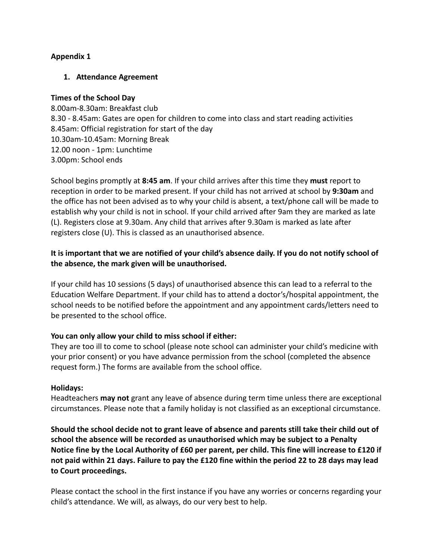# **Appendix 1**

## **1. Attendance Agreement**

#### **Times of the School Day**

8.00am-8.30am: Breakfast club 8.30 - 8.45am: Gates are open for children to come into class and start reading activities 8.45am: Official registration for start of the day 10.30am-10.45am: Morning Break 12.00 noon - 1pm: Lunchtime 3.00pm: School ends

School begins promptly at **8:45 am**. If your child arrives after this time they **must** report to reception in order to be marked present. If your child has not arrived at school by **9:30am** and the office has not been advised as to why your child is absent, a text/phone call will be made to establish why your child is not in school. If your child arrived after 9am they are marked as late (L). Registers close at 9.30am. Any child that arrives after 9.30am is marked as late after registers close (U). This is classed as an unauthorised absence.

# **It is important that we are notified of your child's absence daily. If you do not notify school of the absence, the mark given will be unauthorised.**

If your child has 10 sessions (5 days) of unauthorised absence this can lead to a referral to the Education Welfare Department. If your child has to attend a doctor's/hospital appointment, the school needs to be notified before the appointment and any appointment cards/letters need to be presented to the school office.

# **You can only allow your child to miss school if either:**

They are too ill to come to school (please note school can administer your child's medicine with your prior consent) or you have advance permission from the school (completed the absence request form.) The forms are available from the school office.

#### **Holidays:**

Headteachers **may not** grant any leave of absence during term time unless there are exceptional circumstances. Please note that a family holiday is not classified as an exceptional circumstance.

**Should the school decide not to grant leave of absence and parents still take their child out of school the absence will be recorded as unauthorised which may be subject to a Penalty Notice fine by the Local Authority of £60 per parent, per child. This fine will increase to £120 if not paid within 21 days. Failure to pay the £120 fine within the period 22 to 28 days may lead to Court proceedings.**

Please contact the school in the first instance if you have any worries or concerns regarding your child's attendance. We will, as always, do our very best to help.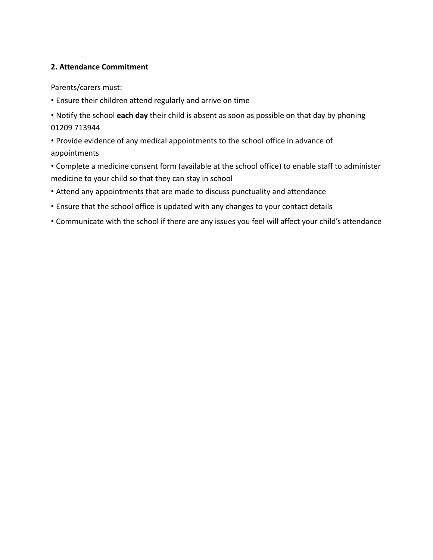# **2. Attendance Commitment**

Parents/carers must:

- Ensure their children attend regularly and arrive on time
- Notify the school **each day** their child is absent as soon as possible on that day by phoning 01209 713944
- Provide evidence of any medical appointments to the school office in advance of appointments
- Complete a medicine consent form (available at the school office) to enable staff to administer medicine to your child so that they can stay in school
- Attend any appointments that are made to discuss punctuality and attendance
- Ensure that the school office is updated with any changes to your contact details
- Communicate with the school if there are any issues you feel will affect your child's attendance